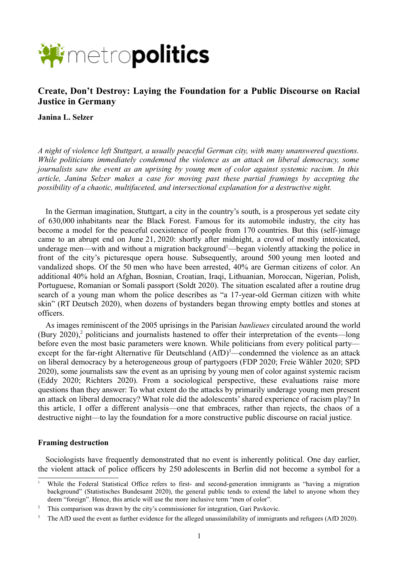

# **Create, Don't Destroy: Laying the Foundation for a Public Discourse on Racial Justice in Germany**

**Janina L. Selzer**

*A night of violence left Stuttgart, a usually peaceful German city, with many unanswered questions. While politicians immediately condemned the violence as an attack on liberal democracy, some journalists saw the event as an uprising by young men of color against systemic racism. In this article, Janina Selzer makes a case for moving past these partial framings by accepting the possibility of a chaotic, multifaceted, and intersectional explanation for a destructive night.*

In the German imagination, Stuttgart, a city in the country's south, is a prosperous yet sedate city of 630,000 inhabitants near the Black Forest. Famous for its automobile industry, the city has become a model for the peaceful coexistence of people from 170 countries. But this (self-)image came to an abrupt end on June 21, 2020: shortly after midnight, a crowd of mostly intoxicated, underage men—with and without a migration background<sup>[1](#page-0-0)</sup>—began violently attacking the police in front of the city's picturesque opera house. Subsequently, around 500 young men looted and vandalized shops. Of the 50 men who have been arrested, 40% are German citizens of color. An additional 40% hold an Afghan, Bosnian, Croatian, Iraqi, Lithuanian, Moroccan, Nigerian, Polish, Portuguese, Romanian or Somali passport (Soldt 2020). The situation escalated after a routine drug search of a young man whom the police describes as "a 17-year-old German citizen with white skin" (RT Deutsch 2020), when dozens of bystanders began throwing empty bottles and stones at officers.

As images reminiscent of the 2005 uprisings in the Parisian *banlieues* circulated around the world (Bury [2](#page-0-1)020),<sup>2</sup> politicians and journalists hastened to offer their interpretation of the events—long before even the most basic parameters were known. While politicians from every political party— except for the far-right Alternative für Deutschland (AfD)<sup>[3](#page-0-2)</sup>—condemned the violence as an attack on liberal democracy by a heterogeneous group of partygoers (FDP 2020; Freie Wähler 2020; SPD 2020), some journalists saw the event as an uprising by young men of color against systemic racism (Eddy 2020; Richters 2020). From a sociological perspective, these evaluations raise more questions than they answer: To what extent do the attacks by primarily underage young men present an attack on liberal democracy? What role did the adolescents' shared experience of racism play? In this article, I offer a different analysis—one that embraces, rather than rejects, the chaos of a destructive night—to lay the foundation for a more constructive public discourse on racial justice.

## **Framing destruction**

Sociologists have frequently demonstrated that no event is inherently political. One day earlier, the violent attack of police officers by 250 adolescents in Berlin did not become a symbol for a

<span id="page-0-0"></span><sup>1</sup> While the Federal Statistical Office refers to first- and second-generation immigrants as "having a migration background" (Statistisches Bundesamt 2020), the general public tends to extend the label to anyone whom they deem "foreign". Hence, this article will use the more inclusive term "men of color".

<span id="page-0-1"></span><sup>&</sup>lt;sup>2</sup> This comparison was drawn by the city's commissioner for integration, Gari Pavkovic.

<span id="page-0-2"></span><sup>&</sup>lt;sup>3</sup> The AfD used the event as further evidence for the alleged unassimilability of immigrants and refugees (AfD 2020).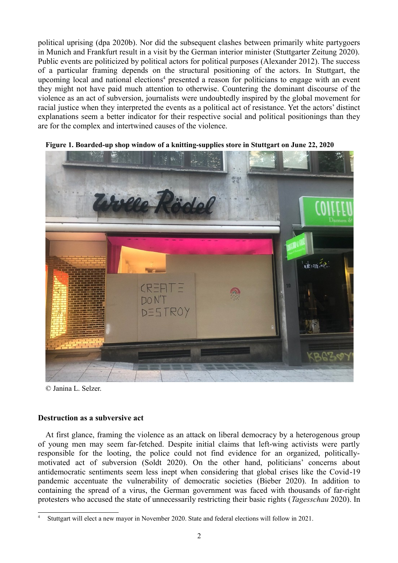political uprising (dpa 2020b). Nor did the subsequent clashes between primarily white partygoers in Munich and Frankfurt result in a visit by the German interior minister (Stuttgarter Zeitung 2020). Public events are politicized by political actors for political purposes (Alexander 2012). The success of a particular framing depends on the structural positioning of the actors. In Stuttgart, the upcoming local and national elections<sup>[4](#page-1-0)</sup> presented a reason for politicians to engage with an event they might not have paid much attention to otherwise. Countering the dominant discourse of the violence as an act of subversion, journalists were undoubtedly inspired by the global movement for racial justice when they interpreted the events as a political act of resistance. Yet the actors' distinct explanations seem a better indicator for their respective social and political positionings than they are for the complex and intertwined causes of the violence.



**Figure 1. Boarded-up shop window of a knitting-supplies store in Stuttgart on June 22, 2020**

© Janina L. Selzer.

# **Destruction as a subversive act**

At first glance, framing the violence as an attack on liberal democracy by a heterogenous group of young men may seem far-fetched. Despite initial claims that left-wing activists were partly responsible for the looting, the police could not find evidence for an organized, politicallymotivated act of subversion (Soldt 2020). On the other hand, politicians' concerns about antidemocratic sentiments seem less inept when considering that global crises like the Covid-19 pandemic accentuate the vulnerability of democratic societies (Bieber 2020). In addition to containing the spread of a virus, the German government was faced with thousands of far-right protesters who accused the state of unnecessarily restricting their basic rights (*Tagesschau* 2020). In

<span id="page-1-0"></span><sup>4</sup> Stuttgart will elect a new mayor in November 2020. State and federal elections will follow in 2021.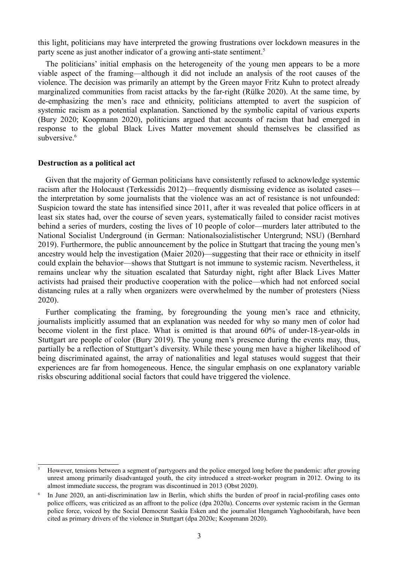this light, politicians may have interpreted the growing frustrations over lockdown measures in the party scene as just another indicator of a growing anti-state sentiment.<sup>[5](#page-2-0)</sup>

The politicians' initial emphasis on the heterogeneity of the young men appears to be a more viable aspect of the framing—although it did not include an analysis of the root causes of the violence. The decision was primarily an attempt by the Green mayor Fritz Kuhn to protect already marginalized communities from racist attacks by the far-right (Rülke 2020). At the same time, by de-emphasizing the men's race and ethnicity, politicians attempted to avert the suspicion of systemic racism as a potential explanation. Sanctioned by the symbolic capital of various experts (Bury 2020; Koopmann 2020), politicians argued that accounts of racism that had emerged in response to the global Black Lives Matter movement should themselves be classified as subversive.<sup>[6](#page-2-1)</sup>

#### **Destruction as a political act**

Given that the majority of German politicians have consistently refused to acknowledge systemic racism after the Holocaust (Terkessidis 2012)—frequently dismissing evidence as isolated cases the interpretation by some journalists that the violence was an act of resistance is not unfounded: Suspicion toward the state has intensified since 2011, after it was revealed that police officers in at least six states had, over the course of seven years, systematically failed to consider racist motives behind a series of murders, costing the lives of 10 people of color—murders later attributed to the National Socialist Underground (in German: Nationalsozialistischer Untergrund; NSU) (Bernhard 2019). Furthermore, the public announcement by the police in Stuttgart that tracing the young men's ancestry would help the investigation (Maier 2020)—suggesting that their race or ethnicity in itself could explain the behavior—shows that Stuttgart is not immune to systemic racism. Nevertheless, it remains unclear why the situation escalated that Saturday night, right after Black Lives Matter activists had praised their productive cooperation with the police—which had not enforced social distancing rules at a rally when organizers were overwhelmed by the number of protesters (Niess 2020).

Further complicating the framing, by foregrounding the young men's race and ethnicity, journalists implicitly assumed that an explanation was needed for why so many men of color had become violent in the first place. What is omitted is that around 60% of under-18-year-olds in Stuttgart are people of color (Bury 2019). The young men's presence during the events may, thus, partially be a reflection of Stuttgart's diversity. While these young men have a higher likelihood of being discriminated against, the array of nationalities and legal statuses would suggest that their experiences are far from homogeneous. Hence, the singular emphasis on one explanatory variable risks obscuring additional social factors that could have triggered the violence.

<span id="page-2-0"></span><sup>5</sup> However, tensions between a segment of partygoers and the police emerged long before the pandemic: after growing unrest among primarily disadvantaged youth, the city introduced a street-worker program in 2012. Owing to its almost immediate success, the program was discontinued in 2013 (Obst 2020).

<span id="page-2-1"></span><sup>6</sup> In June 2020, an anti-discrimination law in Berlin, which shifts the burden of proof in racial-profiling cases onto police officers, was criticized as an affront to the police (dpa 2020a). Concerns over systemic racism in the German police force, voiced by the Social Democrat Saskia Esken and the journalist Hengameh Yaghoobifarah, have been cited as primary drivers of the violence in Stuttgart (dpa 2020c; Koopmann 2020).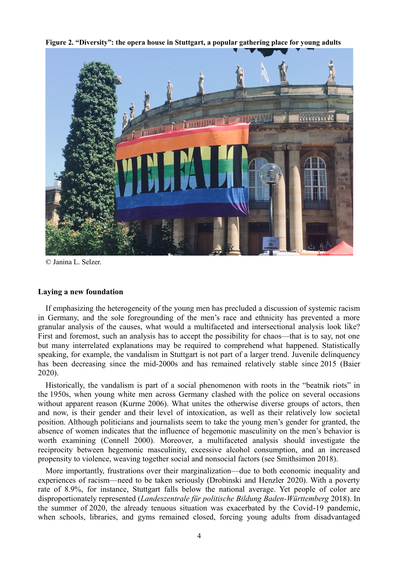**Figure 2. "Diversity": the opera house in Stuttgart, a popular gathering place for young adults**



© Janina L. Selzer.

## **Laying a new foundation**

If emphasizing the heterogeneity of the young men has precluded a discussion of systemic racism in Germany, and the sole foregrounding of the men's race and ethnicity has prevented a more granular analysis of the causes, what would a multifaceted and intersectional analysis look like? First and foremost, such an analysis has to accept the possibility for chaos—that is to say, not one but many interrelated explanations may be required to comprehend what happened. Statistically speaking, for example, the vandalism in Stuttgart is not part of a larger trend. Juvenile delinquency has been decreasing since the mid-2000s and has remained relatively stable since 2015 (Baier 2020).

Historically, the vandalism is part of a social phenomenon with roots in the "beatnik riots" in the 1950s, when young white men across Germany clashed with the police on several occasions without apparent reason (Kurme 2006). What unites the otherwise diverse groups of actors, then and now, is their gender and their level of intoxication, as well as their relatively low societal position. Although politicians and journalists seem to take the young men's gender for granted, the absence of women indicates that the influence of hegemonic masculinity on the men's behavior is worth examining (Connell 2000). Moreover, a multifaceted analysis should investigate the reciprocity between hegemonic masculinity, excessive alcohol consumption, and an increased propensity to violence, weaving together social and nonsocial factors (see Smithsimon 2018).

More importantly, frustrations over their marginalization—due to both economic inequality and experiences of racism—need to be taken seriously (Drobinski and Henzler 2020). With a poverty rate of 8.9%, for instance, Stuttgart falls below the national average. Yet people of color are disproportionately represented (*Landeszentrale für politische Bildung Baden-Württemberg* 2018). In the summer of 2020, the already tenuous situation was exacerbated by the Covid-19 pandemic, when schools, libraries, and gyms remained closed, forcing young adults from disadvantaged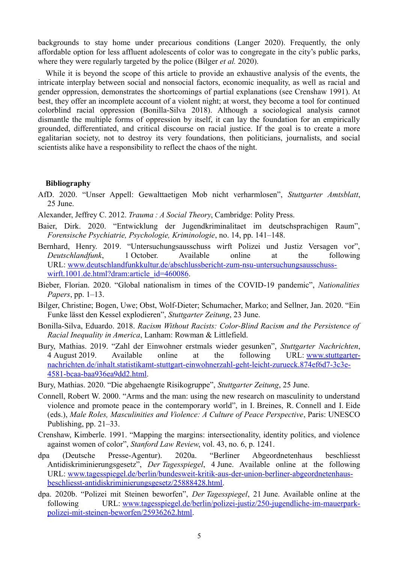backgrounds to stay home under precarious conditions (Langer 2020). Frequently, the only affordable option for less affluent adolescents of color was to congregate in the city's public parks, where they were regularly targeted by the police (Bilger *et al.* 2020).

While it is beyond the scope of this article to provide an exhaustive analysis of the events, the intricate interplay between social and nonsocial factors, economic inequality, as well as racial and gender oppression, demonstrates the shortcomings of partial explanations (see Crenshaw 1991). At best, they offer an incomplete account of a violent night; at worst, they become a tool for continued colorblind racial oppression (Bonilla-Silva 2018). Although a sociological analysis cannot dismantle the multiple forms of oppression by itself, it can lay the foundation for an empirically grounded, differentiated, and critical discourse on racial justice. If the goal is to create a more egalitarian society, not to destroy its very foundations, then politicians, journalists, and social scientists alike have a responsibility to reflect the chaos of the night.

### **Bibliography**

AfD. 2020. "Unser Appell: Gewalttaetigen Mob nicht verharmlosen", *Stuttgarter Amtsblatt*, 25 June.

Alexander, Jeffrey C. 2012. *Trauma : A Social Theory*, Cambridge: Polity Press.

- Baier, Dirk. 2020. "Entwicklung der Jugendkriminalitaet im deutschsprachigen Raum", *Forensische Psychiatrie, Psychologie, Kriminologie*, no. 14, pp. 141–148.
- Bernhard, Henry. 2019. "Untersuchungsausschuss wirft Polizei und Justiz Versagen vor", *Deutschlandfunk*, 1 October. Available online at the following URL: [www.deutschlandfunkkultur.de/abschlussbericht-zum-nsu-untersuchungsausschuss](http://www.deutschlandfunkkultur.de/abschlussbericht-zum-nsu-untersuchungsausschuss-wirft.1001.de.html?dram:article_id=460086)[wirft.1001.de.html?dram:article\\_id=460086.](http://www.deutschlandfunkkultur.de/abschlussbericht-zum-nsu-untersuchungsausschuss-wirft.1001.de.html?dram:article_id=460086)
- Bieber, Florian. 2020. "Global nationalism in times of the COVID-19 pandemic", *Nationalities Papers*, pp. 1–13.
- Bilger, Christine; Bogen, Uwe; Obst, Wolf-Dieter; Schumacher, Marko; and Sellner, Jan. 2020. "Ein Funke lässt den Kessel explodieren", *Stuttgarter Zeitung*, 23 June.
- Bonilla-Silva, Eduardo. 2018. *Racism Without Racists: Color-Blind Racism and the Persistence of Racial Inequality in America*, Lanham: Rowman & Littlefield.
- Bury, Mathias. 2019. "Zahl der Einwohner erstmals wieder gesunken", *Stuttgarter Nachrichten*, 4 August 2019. Available online at the following URL: [www.stuttgarter](http://www.stuttgarter-nachrichten.de/inhalt.statistikamt-stuttgart-einwohnerzahl-geht-leicht-zurueck.874ef6d7-3c3e-4581-bcaa-baa936ea9dd2.html)[nachrichten.de/inhalt.statistikamt-stuttgart-einwohnerzahl-geht-leicht-zurueck.874ef6d7-3c3e-](http://www.stuttgarter-nachrichten.de/inhalt.statistikamt-stuttgart-einwohnerzahl-geht-leicht-zurueck.874ef6d7-3c3e-4581-bcaa-baa936ea9dd2.html)[4581-bcaa-baa936ea9dd2.html.](http://www.stuttgarter-nachrichten.de/inhalt.statistikamt-stuttgart-einwohnerzahl-geht-leicht-zurueck.874ef6d7-3c3e-4581-bcaa-baa936ea9dd2.html)
- Bury, Mathias. 2020. "Die abgehaengte Risikogruppe", *Stuttgarter Zeitung*, 25 June.
- Connell, Robert W. 2000. "Arms and the man: using the new research on masculinity to understand violence and promote peace in the contemporary world", in I. Breines, R. Connell and I. Eide (eds.), *Male Roles, Masculinities and Violence: A Culture of Peace Perspective*, Paris: UNESCO Publishing, pp. 21–33.
- Crenshaw, Kimberle. 1991. "Mapping the margins: intersectionality, identity politics, and violence against women of color", *Stanford Law Review*, vol. 43, no. 6, p. 1241.
- dpa (Deutsche Presse-Agentur). 2020a. "Berliner Abgeordnetenhaus beschliesst Antidiskriminierungsgesetz", *Der Tagesspiegel*, 4 June. Available online at the following URL: [www.tagesspiegel.de/berlin/bundesweit-kritik-aus-der-union-berliner-abgeordnetenhaus](http://www.tagesspiegel.de/berlin/bundesweit-kritik-aus-der-union-berliner-abgeordnetenhaus-beschliesst-antidiskriminierungsgesetz/25888428.html)[beschliesst-antidiskriminierungsgesetz/25888428.html.](http://www.tagesspiegel.de/berlin/bundesweit-kritik-aus-der-union-berliner-abgeordnetenhaus-beschliesst-antidiskriminierungsgesetz/25888428.html)
- dpa. 2020b. "Polizei mit Steinen beworfen", *Der Tagesspiegel*, 21 June. Available online at the following URL: [www.tagesspiegel.de/berlin/polizei-justiz/250-jugendliche-im-mauerpark](http://www.tagesspiegel.de/berlin/polizei-justiz/250-jugendliche-im-mauerpark-polizei-mit-steinen-beworfen/25936262.html)[polizei-mit-steinen-beworfen/25936262.html.](http://www.tagesspiegel.de/berlin/polizei-justiz/250-jugendliche-im-mauerpark-polizei-mit-steinen-beworfen/25936262.html)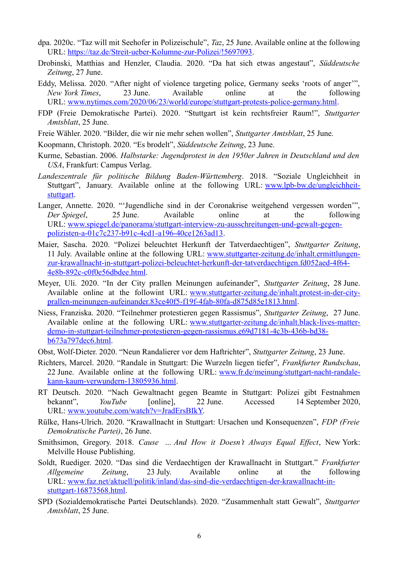- dpa. 2020c. "Taz will mit Seehofer in Polizeischule", *Taz*, 25 June. Available online at the following URL: [https://taz.de/Streit-ueber-Kolumne-zur-Polizei/!5697093.](https://taz.de/Streit-ueber-Kolumne-zur-Polizei/!5697093)
- Drobinski, Matthias and Henzler, Claudia. 2020. "Da hat sich etwas angestaut", *Süddeutsche Zeitung*, 27 June.
- Eddy, Melissa. 2020. "After night of violence targeting police, Germany seeks 'roots of anger'", *New York Times*, 23 June. Available online at the following URL: [www.nytimes.com/2020/06/23/world/europe/stuttgart-protests-police-germany.html.](http://www.nytimes.com/2020/06/23/world/europe/stuttgart-protests-police-germany.html)
- FDP (Freie Demokratische Partei). 2020. "Stuttgart ist kein rechtsfreier Raum!", *Stuttgarter Amtsblatt*, 25 June.
- Freie Wähler. 2020. "Bilder, die wir nie mehr sehen wollen", *Stuttgarter Amtsblatt*, 25 June.
- Koopmann, Christoph. 2020. "Es brodelt", *Süddeutsche Zeitung*, 23 June.
- Kurme, Sebastian. 2006. *Halbstarke: Jugendprotest in den 1950er Jahren in Deutschland und den USA*, Frankfurt: Campus Verlag.
- *Landeszentrale für politische Bildung Baden-Württemberg*. 2018. "Soziale Ungleichheit in Stuttgart", January. Available online at the following URL: [www.lpb-bw.de/ungleichheit](http://www.lpb-bw.de/ungleichheit-stuttgart)[stuttgart.](http://www.lpb-bw.de/ungleichheit-stuttgart)
- Langer, Annette. 2020. "'Jugendliche sind in der Coronakrise weitgehend vergessen worden'", *Der Spiegel*, 25 June. Available online at the following URL: [www.spiegel.de/panorama/stuttgart-interview-zu-ausschreitungen-und-gewalt-gegen](http://www.spiegel.de/panorama/stuttgart-interview-zu-ausschreitungen-und-gewalt-gegen-polizisten-a-01c7c237-b91c-4cd1-a196-40ce1263ad13)[polizisten-a-01c7c237-b91c-4cd1-a196-40ce1263ad13.](http://www.spiegel.de/panorama/stuttgart-interview-zu-ausschreitungen-und-gewalt-gegen-polizisten-a-01c7c237-b91c-4cd1-a196-40ce1263ad13)
- Maier, Sascha. 2020. "Polizei beleuchtet Herkunft der Tatverdaechtigen", *Stuttgarter Zeitung*, 11 July. Available online at the following URL: [www.stuttgarter-zeitung.de/inhalt.ermittlungen](http://www.stuttgarter-zeitung.de/inhalt.ermittlungen-zur-krawallnacht-in-stuttgart-polizei-beleuchtet-herkunft-der-tatverdaechtigen.fd052aed-4f64-4e8b-892c-c0f0e56dbdee.html)[zur-krawallnacht-in-stuttgart-polizei-beleuchtet-herkunft-der-tatverdaechtigen.fd052aed-4f64-](http://www.stuttgarter-zeitung.de/inhalt.ermittlungen-zur-krawallnacht-in-stuttgart-polizei-beleuchtet-herkunft-der-tatverdaechtigen.fd052aed-4f64-4e8b-892c-c0f0e56dbdee.html) [4e8b-892c-c0f0e56dbdee.html.](http://www.stuttgarter-zeitung.de/inhalt.ermittlungen-zur-krawallnacht-in-stuttgart-polizei-beleuchtet-herkunft-der-tatverdaechtigen.fd052aed-4f64-4e8b-892c-c0f0e56dbdee.html)
- Meyer, Uli. 2020. "In der City prallen Meinungen aufeinander", *Stuttgarter Zeitung*, 28 June. Available online at the followint URL: [www.stuttgarter-zeitung.de/inhalt.protest-in-der-city](http://www.stuttgarter-zeitung.de/inhalt.protest-in-der-city-prallen-meinungen-aufeinander.83ce40f5-f19f-4fab-80fa-d875d85e1813.html)[prallen-meinungen-aufeinander.83ce40f5-f19f-4fab-80fa-d875d85e1813.html.](http://www.stuttgarter-zeitung.de/inhalt.protest-in-der-city-prallen-meinungen-aufeinander.83ce40f5-f19f-4fab-80fa-d875d85e1813.html)
- Niess, Franziska. 2020. "Teilnehmer protestieren gegen Rassismus", *Stuttgarter Zeitung*, 27 June. Available online at the following URL: [www.stuttgarter-zeitung.de/inhalt.black-lives-matter](http://www.stuttgarter-zeitung.de/inhalt.black-lives-matter-demo-in-stuttgart-teilnehmer-protestieren-gegen-rassismus.e69d7181-4c3b-436b-bd38-b673a797dec6.html)[demo-in-stuttgart-teilnehmer-protestieren-gegen-rassismus.e69d7181-4c3b-436b-bd38](http://www.stuttgarter-zeitung.de/inhalt.black-lives-matter-demo-in-stuttgart-teilnehmer-protestieren-gegen-rassismus.e69d7181-4c3b-436b-bd38-b673a797dec6.html) [b673a797dec6.html.](http://www.stuttgarter-zeitung.de/inhalt.black-lives-matter-demo-in-stuttgart-teilnehmer-protestieren-gegen-rassismus.e69d7181-4c3b-436b-bd38-b673a797dec6.html)
- Obst, Wolf-Dieter. 2020. "Neun Randalierer vor dem Haftrichter", *Stuttgarter Zeitung*, 23 June.
- Richters, Marcel. 2020. "Randale in Stuttgart: Die Wurzeln liegen tiefer", *Frankfurter Rundschau*, 22 June. Available online at the following URL: [www.fr.de/meinung/stuttgart-nacht-randale](http://www.fr.de/meinung/stuttgart-nacht-randale-kann-kaum-verwundern-13805936.html)[kann-kaum-verwundern-13805936.html.](http://www.fr.de/meinung/stuttgart-nacht-randale-kann-kaum-verwundern-13805936.html)
- RT Deutsch. 2020. "Nach Gewaltnacht gegen Beamte in Stuttgart: Polizei gibt Festnahmen bekannt", *YouTube* [online], 22 June. Accessed 14 September 2020, URL: [www.youtube.com/watch?v=JradErsBIkY.](http://www.youtube.com/watch?v=JradErsBIkY)
- Rülke, Hans-Ulrich. 2020. "Krawallnacht in Stuttgart: Ursachen und Konsequenzen", *FDP (Freie Demokratische Partei)*, 26 June.
- Smithsimon, Gregory. 2018. *Cause  … And How it Doesn't Always Equal Effect*, New York: Melville House Publishing.
- Soldt, Ruediger. 2020. "Das sind die Verdaechtigen der Krawallnacht in Stuttgart." *Frankfurter Allgemeine Zeitung*, 23 July. Available online at the following URL: [www.faz.net/aktuell/politik/inland/das-sind-die-verdaechtigen-der-krawallnacht-in](http://www.faz.net/aktuell/politik/inland/das-sind-die-verdaechtigen-der-krawallnacht-in-stuttgart-16873568.html)[stuttgart-16873568.html.](http://www.faz.net/aktuell/politik/inland/das-sind-die-verdaechtigen-der-krawallnacht-in-stuttgart-16873568.html)
- SPD (Sozialdemokratische Partei Deutschlands). 2020. "Zusammenhalt statt Gewalt", *Stuttgarter Amtsblatt*, 25 June.